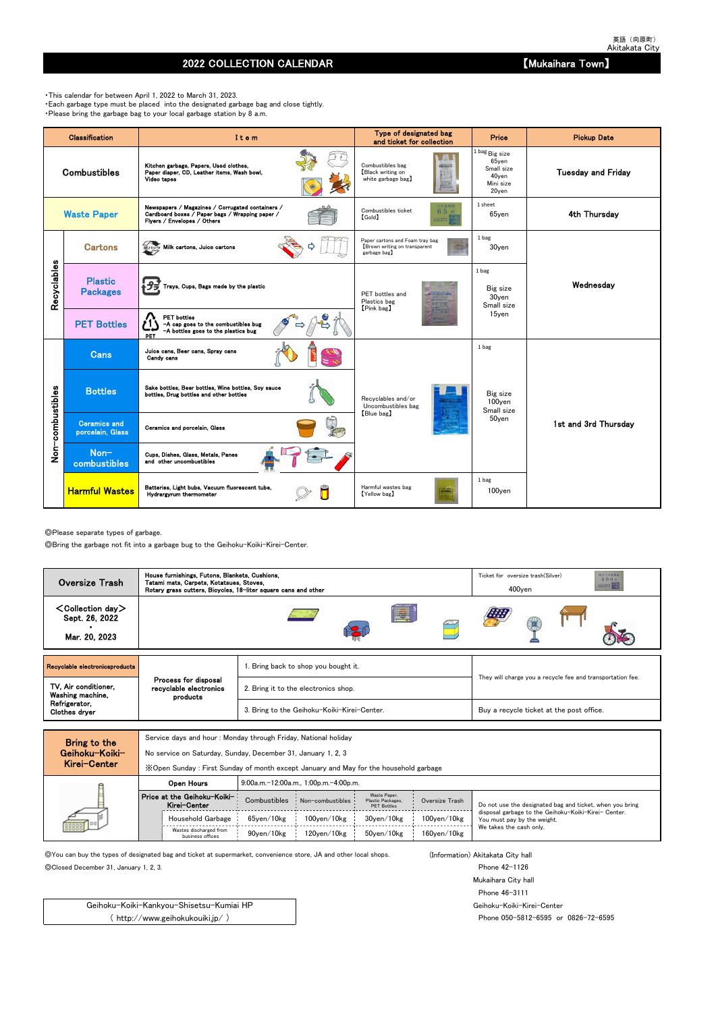## 2022 COLLECTION CALENDAR **No. 2022 COLLECTION** CALENDAR

◎Please separate types of garbage.

◎Bring the garbage not fit into a garbage bug to the Geihoku-Koiki-Kirei-Center.

Service days and hour : Monday through Friday, National holiday

No service on Saturday, Sunday, December 31, January 1, 2, 3

◎You can buy the types of designated bag and ticket at supermarket, convenience store, JA and other local shops. (Information) Akitakata City hall

◎Closed December 31, January 1, 2, 3. Phone 42-1126

Mukaihara City hall Phone 46-3111 Geihoku-Koiki-Kirei-Center Phone 050-5812-6595 or 0826-72-6595

・This calendar for between April 1, 2022 to March 31, 2023. ・Each garbage type must be placed into the designated garbage bag and close tightly. ・Please bring the garbage bag to your local garbage station by 8 a.m.

|                  | Classification                          | Item                                                                                                                               | Type of designated bag<br>and ticket for collection                             | <b>Price</b>                                                               | <b>Pickup Date</b>        |
|------------------|-----------------------------------------|------------------------------------------------------------------------------------------------------------------------------------|---------------------------------------------------------------------------------|----------------------------------------------------------------------------|---------------------------|
|                  | <b>Combustibles</b>                     | Kitchen garbage, Papers, Used clothes,<br>Paper diaper, CD, Leather items, Wash bowl,<br>Video tapes                               | Combustibles bag<br>Black writing on<br>white garbage bag)                      | 1 bag Big size<br>$65$ yen<br>Small size<br>40yen<br>Mini size<br>$20$ yen | <b>Tuesday and Friday</b> |
|                  | <b>Waste Paper</b>                      | Newspapers / Magazines / Corrugated containers /<br>Cardboard boxes / Paper bags / Wrapping paper /<br>Flyers / Envelopes / Others | ごみ処理券<br>Combustibles ticket<br>65円<br>$[\text{Gold}]$<br>主出 地界塔 田              | 1 sheet<br>$65$ yen                                                        | 4th Thursday              |
|                  | <b>Cartons</b>                          | 紙パック Milk cartons, Juice cartons                                                                                                   | Paper cartons and Foam tray bag<br>Brown writing on transparent<br>garbage bag) | 1 bag<br>30yen                                                             |                           |
| Recyclables      | <b>Plastic</b><br><b>Packages</b>       | Trays, Cups, Bags made by the plastic                                                                                              | PET bottles and<br>Plastics bag<br>[Pink bag]                                   | 1 bag<br>Big size<br>30yen<br>Small size                                   | Wednesday                 |
|                  | <b>PET Bottles</b>                      | <b>PET</b> bottles<br>-A cap goes to the combustibles bug<br>-A bottles goes to the plastics bug<br>PET                            |                                                                                 | 15ven                                                                      |                           |
|                  | <b>Cans</b>                             | Juice cans, Beer cans, Spray cans<br>Candy cans                                                                                    |                                                                                 | 1 bag                                                                      |                           |
|                  | <b>Bottles</b>                          | Sake bottles, Beer bottles, Wine bottles, Soy sauce<br>bottles, Drug bottles and other bottles                                     | Recvolables and/or<br>Uncombustibles bag                                        | Big size<br>100yen<br>Small size                                           |                           |
| Non-combustibles | <b>Ceramics and</b><br>porcelain, Glass | Ceramics and porcelain, Glass                                                                                                      | [Blue bag]                                                                      | 50yen                                                                      | 1st and 3rd Thursdav      |
|                  | Non-<br>combustibles                    | Cups, Dishes, Glass, Metals, Panes<br>and other uncombustibles                                                                     |                                                                                 |                                                                            |                           |
|                  | <b>Harmful Wastes</b>                   | Batteries, Light bubs, Vacuum fluorescent tube,<br>Hydrargyrum thermometer                                                         | Harmful wastes bag<br>[Yellow bag]                                              | 1 bag<br>100yen                                                            |                           |

| MIGI VEILEI |                                             | X Open Sunday: First Sunday of month except January and May for the household garbage |                                       |                                                         |                    |                                                                                     |  |  |  |  |  |  |  |  |  |
|-------------|---------------------------------------------|---------------------------------------------------------------------------------------|---------------------------------------|---------------------------------------------------------|--------------------|-------------------------------------------------------------------------------------|--|--|--|--|--|--|--|--|--|
|             | Open Hours                                  |                                                                                       | 9:00a.m.-12:00a.m., 1:00p.m.-4:00p.m. |                                                         |                    |                                                                                     |  |  |  |  |  |  |  |  |  |
|             | Price at the Geihoku-Koiki-<br>Kirei-Center | Combustibles                                                                          | Non-combustibles                      | Waste Paper.<br>Plastic Packages,<br><b>PET Bottles</b> | Oversize Trash     | Do not use the designated bag and ticket, when you bring                            |  |  |  |  |  |  |  |  |  |
| 000000      | Household Garbage                           | 65ven/10kg                                                                            | $100$ ven $/10$ kg                    | 30ven/10kg                                              | $100$ yen $/10$ kg | disposal garbage to the Geihoku-Koiki-Kirei- Center.<br>You must pay by the weight. |  |  |  |  |  |  |  |  |  |
|             | Wastes discharged from<br>business offices  | 90ven/10kg                                                                            | 120ven/10kg                           | 50ven/10kg                                              | $160$ ven $/10$ kg | We takes the cash only.                                                             |  |  |  |  |  |  |  |  |  |

Geihoku-Koiki-Kankyou-Shisetsu-Kumiai HP ( http://www.geihokukouiki.jp/ )

| $\leq$ Collection day $>$<br>E<br>Sept. 26, 2022<br>Mar. 20, 2023<br>Recyclable electronicsproducts<br>Bring back to shop you bought it.<br>They will charge you a recycle fee and transportation fee.<br>Process for disposal<br>TV, Air conditioner,<br>recyclable electronics | <b>Oversize Trash</b> | House furnishings, Futons, Blankets, Cushions,<br>Tatami mats, Carpets, Kotatsues, Stoves,<br>Rotary grass cutters, Bicycles, 18-liter square cans and other |                                      | 粗大ごみ処理券<br>Ticket for oversize trash (Silver)<br>400円<br><b>REGISTER BUGGE</b><br>$400$ ven |  |  |  |
|----------------------------------------------------------------------------------------------------------------------------------------------------------------------------------------------------------------------------------------------------------------------------------|-----------------------|--------------------------------------------------------------------------------------------------------------------------------------------------------------|--------------------------------------|---------------------------------------------------------------------------------------------|--|--|--|
|                                                                                                                                                                                                                                                                                  |                       |                                                                                                                                                              |                                      |                                                                                             |  |  |  |
|                                                                                                                                                                                                                                                                                  |                       |                                                                                                                                                              |                                      |                                                                                             |  |  |  |
| Washing machine,<br>products                                                                                                                                                                                                                                                     |                       |                                                                                                                                                              | 2. Bring it to the electronics shop. |                                                                                             |  |  |  |
| Refrigerator,<br>3. Bring to the Geihoku-Koiki-Kirei-Center.<br>Buy a recycle ticket at the post office.<br>Clothes dryer                                                                                                                                                        |                       |                                                                                                                                                              |                                      |                                                                                             |  |  |  |

Bring to the Geihoku-Koiki-Kirei-Center